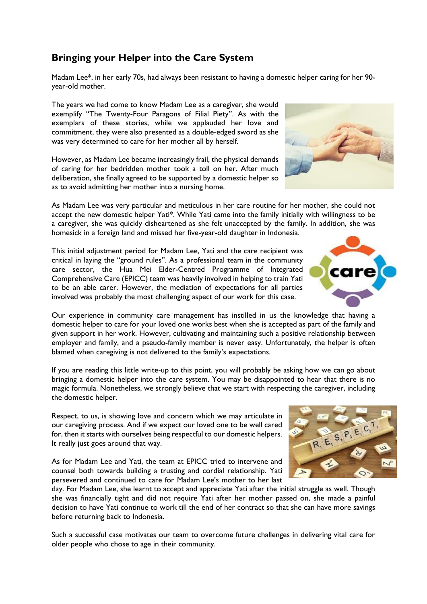## **Bringing your Helper into the Care System**

Madam Lee\*, in her early 70s, had always been resistant to having a domestic helper caring for her 90 year-old mother.

The years we had come to know Madam Lee as a caregiver, she would exemplify "The Twenty-Four Paragons of Filial Piety". As with the exemplars of these stories, while we applauded her love and commitment, they were also presented as a double-edged sword as she was very determined to care for her mother all by herself.

However, as Madam Lee became increasingly frail, the physical demands of caring for her bedridden mother took a toll on her. After much deliberation, she finally agreed to be supported by a domestic helper so as to avoid admitting her mother into a nursing home.

As Madam Lee was very particular and meticulous in her care routine for her mother, she could not accept the new domestic helper Yati\*. While Yati came into the family initially with willingness to be a caregiver, she was quickly disheartened as she felt unaccepted by the family. In addition, she was homesick in a foreign land and missed her five-year-old daughter in Indonesia.

This initial adjustment period for Madam Lee, Yati and the care recipient was critical in laying the "ground rules". As a professional team in the community care sector, the Hua Mei Elder-Centred Programme of Integrated Comprehensive Care (EPICC) team was heavily involved in helping to train Yati to be an able carer. However, the mediation of expectations for all parties involved was probably the most challenging aspect of our work for this case.

Our experience in community care management has instilled in us the knowledge that having a domestic helper to care for your loved one works best when she is accepted as part of the family and given support in her work. However, cultivating and maintaining such a positive relationship between employer and family, and a pseudo-family member is never easy. Unfortunately, the helper is often blamed when caregiving is not delivered to the family's expectations.

If you are reading this little write-up to this point, you will probably be asking how we can go about bringing a domestic helper into the care system. You may be disappointed to hear that there is no magic formula. Nonetheless, we strongly believe that we start with respecting the caregiver, including the domestic helper.

Respect, to us, is showing love and concern which we may articulate in our caregiving process. And if we expect our loved one to be well cared for, then it starts with ourselves being respectful to our domestic helpers. It really just goes around that way.

As for Madam Lee and Yati, the team at EPICC tried to intervene and counsel both towards building a trusting and cordial relationship. Yati persevered and continued to care for Madam Lee's mother to her last

day. For Madam Lee, she learnt to accept and appreciate Yati after the initial struggle as well. Though she was financially tight and did not require Yati after her mother passed on, she made a painful decision to have Yati continue to work till the end of her contract so that she can have more savings before returning back to Indonesia.

Such a successful case motivates our team to overcome future challenges in delivering vital care for older people who chose to age in their community.